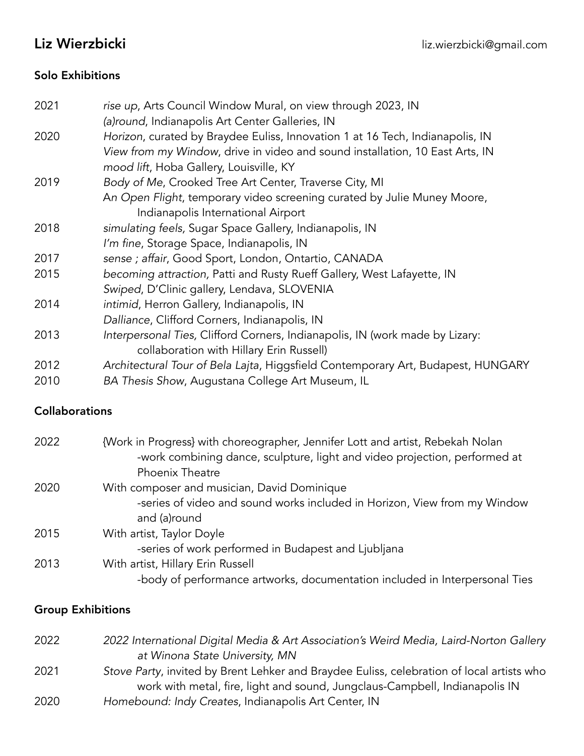# Solo Exhibitions

| 2021 | rise up, Arts Council Window Mural, on view through 2023, IN                     |
|------|----------------------------------------------------------------------------------|
|      | (a)round, Indianapolis Art Center Galleries, IN                                  |
| 2020 | Horizon, curated by Braydee Euliss, Innovation 1 at 16 Tech, Indianapolis, IN    |
|      | View from my Window, drive in video and sound installation, 10 East Arts, IN     |
|      | mood lift, Hoba Gallery, Louisville, KY                                          |
| 2019 | Body of Me, Crooked Tree Art Center, Traverse City, MI                           |
|      | An Open Flight, temporary video screening curated by Julie Muney Moore,          |
|      | Indianapolis International Airport                                               |
| 2018 | simulating feels, Sugar Space Gallery, Indianapolis, IN                          |
|      | I'm fine, Storage Space, Indianapolis, IN                                        |
| 2017 | sense ; affair, Good Sport, London, Ontartio, CANADA                             |
| 2015 | becoming attraction, Patti and Rusty Rueff Gallery, West Lafayette, IN           |
|      | Swiped, D'Clinic gallery, Lendava, SLOVENIA                                      |
| 2014 | intimid, Herron Gallery, Indianapolis, IN                                        |
|      | Dalliance, Clifford Corners, Indianapolis, IN                                    |
| 2013 | Interpersonal Ties, Clifford Corners, Indianapolis, IN (work made by Lizary:     |
|      | collaboration with Hillary Erin Russell)                                         |
| 2012 | Architectural Tour of Bela Lajta, Higgsfield Contemporary Art, Budapest, HUNGARY |
| 2010 | BA Thesis Show, Augustana College Art Museum, IL                                 |

## Collaborations

| 2022 | {Work in Progress} with choreographer, Jennifer Lott and artist, Rebekah Nolan |
|------|--------------------------------------------------------------------------------|
|      | -work combining dance, sculpture, light and video projection, performed at     |
|      | Phoenix Theatre                                                                |
| 2020 | With composer and musician, David Dominique                                    |
|      | -series of video and sound works included in Horizon, View from my Window      |
|      | and (a)round                                                                   |
| 2015 | With artist, Taylor Doyle                                                      |
|      | -series of work performed in Budapest and Ljubljana                            |
| 2013 | With artist, Hillary Erin Russell                                              |
|      | -body of performance artworks, documentation included in Interpersonal Ties    |

# Group Exhibitions

| 2022 | 2022 International Digital Media & Art Association's Weird Media, Laird-Norton Gallery    |
|------|-------------------------------------------------------------------------------------------|
|      | at Winona State University, MN                                                            |
| 2021 | Stove Party, invited by Brent Lehker and Braydee Euliss, celebration of local artists who |
|      | work with metal, fire, light and sound, Jungclaus-Campbell, Indianapolis IN               |
| 2020 | Homebound: Indy Creates, Indianapolis Art Center, IN                                      |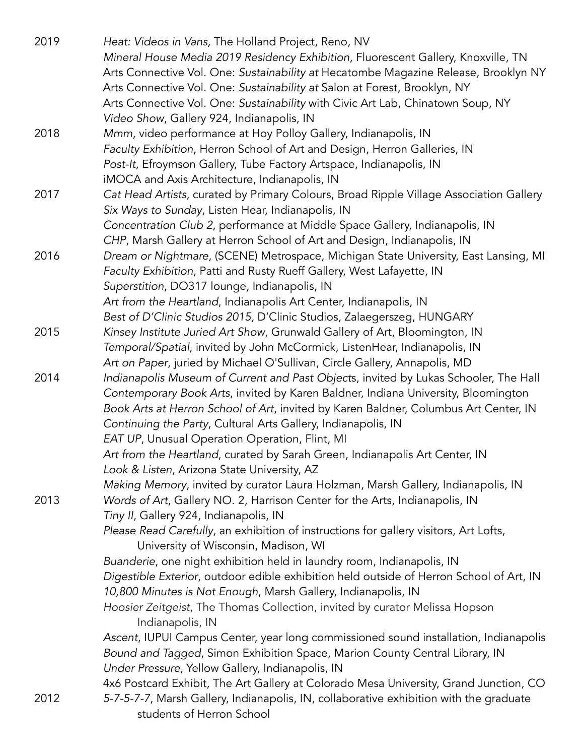| 2019 | Heat: Videos in Vans, The Holland Project, Reno, NV                                     |
|------|-----------------------------------------------------------------------------------------|
|      | Mineral House Media 2019 Residency Exhibition, Fluorescent Gallery, Knoxville, TN       |
|      | Arts Connective Vol. One: Sustainability at Hecatombe Magazine Release, Brooklyn NY     |
|      | Arts Connective Vol. One: Sustainability at Salon at Forest, Brooklyn, NY               |
|      | Arts Connective Vol. One: Sustainability with Civic Art Lab, Chinatown Soup, NY         |
|      | Video Show, Gallery 924, Indianapolis, IN                                               |
| 2018 | Mmm, video performance at Hoy Polloy Gallery, Indianapolis, IN                          |
|      | Faculty Exhibition, Herron School of Art and Design, Herron Galleries, IN               |
|      | Post-It, Efroymson Gallery, Tube Factory Artspace, Indianapolis, IN                     |
|      | iMOCA and Axis Architecture, Indianapolis, IN                                           |
| 2017 | Cat Head Artists, curated by Primary Colours, Broad Ripple Village Association Gallery  |
|      | Six Ways to Sunday, Listen Hear, Indianapolis, IN                                       |
|      | Concentration Club 2, performance at Middle Space Gallery, Indianapolis, IN             |
|      | CHP, Marsh Gallery at Herron School of Art and Design, Indianapolis, IN                 |
| 2016 | Dream or Nightmare, (SCENE) Metrospace, Michigan State University, East Lansing, MI     |
|      | Faculty Exhibition, Patti and Rusty Rueff Gallery, West Lafayette, IN                   |
|      | Superstition, DO317 lounge, Indianapolis, IN                                            |
|      | Art from the Heartland, Indianapolis Art Center, Indianapolis, IN                       |
|      | Best of D'Clinic Studios 2015, D'Clinic Studios, Zalaegerszeg, HUNGARY                  |
| 2015 | Kinsey Institute Juried Art Show, Grunwald Gallery of Art, Bloomington, IN              |
|      | Temporal/Spatial, invited by John McCormick, ListenHear, Indianapolis, IN               |
|      | Art on Paper, juried by Michael O'Sullivan, Circle Gallery, Annapolis, MD               |
| 2014 | Indianapolis Museum of Current and Past Objects, invited by Lukas Schooler, The Hall    |
|      | Contemporary Book Arts, invited by Karen Baldner, Indiana University, Bloomington       |
|      | Book Arts at Herron School of Art, invited by Karen Baldner, Columbus Art Center, IN    |
|      | Continuing the Party, Cultural Arts Gallery, Indianapolis, IN                           |
|      | EAT UP, Unusual Operation Operation, Flint, MI                                          |
|      | Art from the Heartland, curated by Sarah Green, Indianapolis Art Center, IN             |
|      | Look & Listen, Arizona State University, AZ                                             |
|      | Making Memory, invited by curator Laura Holzman, Marsh Gallery, Indianapolis, IN        |
| 2013 | Words of Art, Gallery NO. 2, Harrison Center for the Arts, Indianapolis, IN             |
|      | Tiny II, Gallery 924, Indianapolis, IN                                                  |
|      | Please Read Carefully, an exhibition of instructions for gallery visitors, Art Lofts,   |
|      | University of Wisconsin, Madison, WI                                                    |
|      | Buanderie, one night exhibition held in laundry room, Indianapolis, IN                  |
|      | Digestible Exterior, outdoor edible exhibition held outside of Herron School of Art, IN |
|      | 10,800 Minutes is Not Enough, Marsh Gallery, Indianapolis, IN                           |
|      | Hoosier Zeitgeist, The Thomas Collection, invited by curator Melissa Hopson             |
|      | Indianapolis, IN                                                                        |
|      | Ascent, IUPUI Campus Center, year long commissioned sound installation, Indianapolis    |
|      | Bound and Tagged, Simon Exhibition Space, Marion County Central Library, IN             |
|      | Under Pressure, Yellow Gallery, Indianapolis, IN                                        |
|      | 4x6 Postcard Exhibit, The Art Gallery at Colorado Mesa University, Grand Junction, CO   |
| 2012 | 5-7-5-7-7, Marsh Gallery, Indianapolis, IN, collaborative exhibition with the graduate  |
|      | students of Herron School                                                               |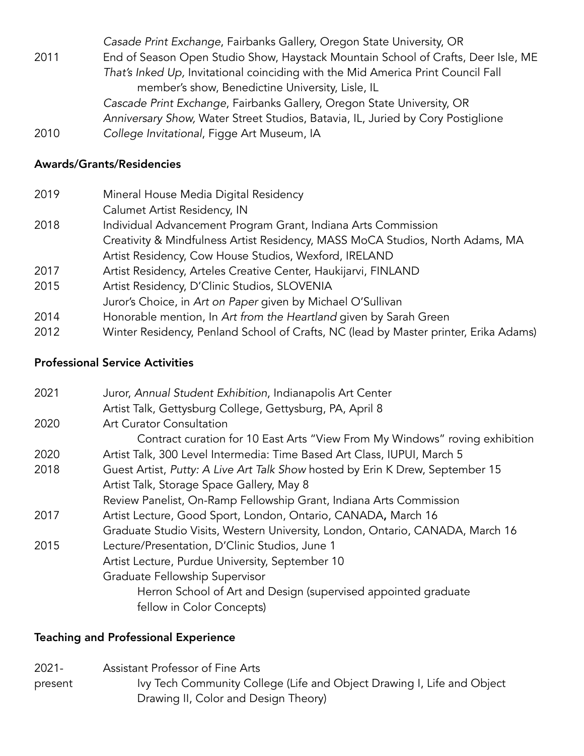*Casade Print Exchange*, Fairbanks Gallery, Oregon State University, OR 2011 End of Season Open Studio Show, Haystack Mountain School of Crafts, Deer Isle, ME *That's Inked Up,* Invitational coinciding with the Mid America Print Council Fall member's show, Benedictine University, Lisle, IL *Cascade Print Exchange*, Fairbanks Gallery, Oregon State University, OR *Anniversary Show,* Water Street Studios, Batavia, IL, Juried by Cory Postiglione 2010 *College Invitational*, Figge Art Museum, IA

### Awards/Grants/Residencies

| 2019 | Mineral House Media Digital Residency                                                |
|------|--------------------------------------------------------------------------------------|
|      | Calumet Artist Residency, IN                                                         |
| 2018 | Individual Advancement Program Grant, Indiana Arts Commission                        |
|      | Creativity & Mindfulness Artist Residency, MASS MoCA Studios, North Adams, MA        |
|      | Artist Residency, Cow House Studios, Wexford, IRELAND                                |
| 2017 | Artist Residency, Arteles Creative Center, Haukijarvi, FINLAND                       |
| 2015 | Artist Residency, D'Clinic Studios, SLOVENIA                                         |
|      | Juror's Choice, in Art on Paper given by Michael O'Sullivan                          |
| 2014 | Honorable mention, In Art from the Heartland given by Sarah Green                    |
| 2012 | Winter Residency, Penland School of Crafts, NC (lead by Master printer, Erika Adams) |
|      |                                                                                      |

### Professional Service Activities

| 2021 | Juror, Annual Student Exhibition, Indianapolis Art Center                     |
|------|-------------------------------------------------------------------------------|
|      | Artist Talk, Gettysburg College, Gettysburg, PA, April 8                      |
| 2020 | <b>Art Curator Consultation</b>                                               |
|      | Contract curation for 10 East Arts "View From My Windows" roving exhibition   |
| 2020 | Artist Talk, 300 Level Intermedia: Time Based Art Class, IUPUI, March 5       |
| 2018 | Guest Artist, Putty: A Live Art Talk Show hosted by Erin K Drew, September 15 |
|      | Artist Talk, Storage Space Gallery, May 8                                     |
|      | Review Panelist, On-Ramp Fellowship Grant, Indiana Arts Commission            |
| 2017 | Artist Lecture, Good Sport, London, Ontario, CANADA, March 16                 |
|      | Graduate Studio Visits, Western University, London, Ontario, CANADA, March 16 |
| 2015 | Lecture/Presentation, D'Clinic Studios, June 1                                |
|      | Artist Lecture, Purdue University, September 10                               |
|      | Graduate Fellowship Supervisor                                                |
|      | Herron School of Art and Design (supervised appointed graduate                |
|      | fellow in Color Concepts)                                                     |
|      |                                                                               |

## Teaching and Professional Experience

2021- Assistant Professor of Fine Arts present Ivy Tech Community College (Life and Object Drawing I, Life and Object Drawing II, Color and Design Theory)